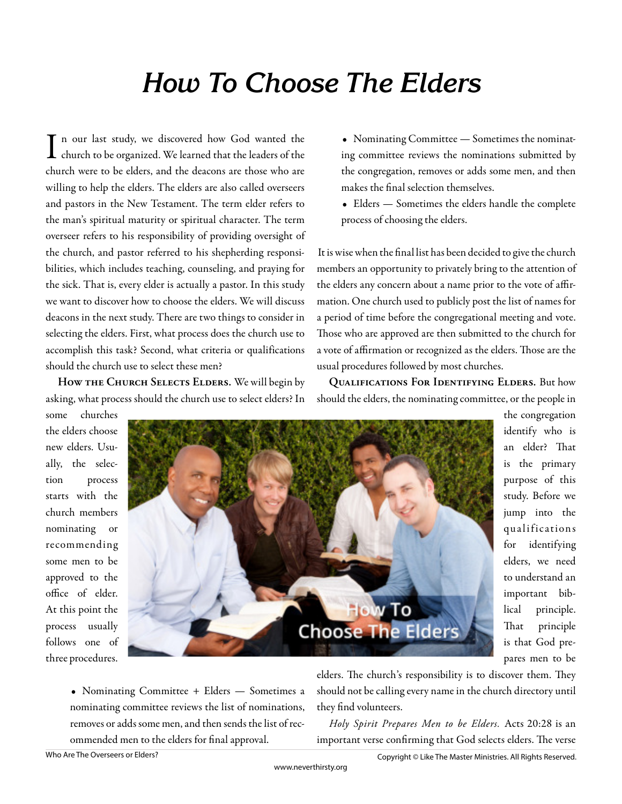## **How To Choose The Elders**

In our last study, we discovered how God wanted the church to be organized. We learned that the leaders of the n our last study, we discovered how God wanted the church were to be elders, and the deacons are those who are willing to help the elders. The elders are also called overseers and pastors in the New Testament. The term elder refers to the man's spiritual maturity or spiritual character. The term overseer refers to his responsibility of providing oversight of the church, and pastor referred to his shepherding responsibilities, which includes teaching, counseling, and praying for the sick. That is, every elder is actually a pastor. In this study we want to discover how to choose the elders. We will discuss deacons in the next study. There are two things to consider in selecting the elders. First, what process does the church use to accomplish this task? Second, what criteria or qualifications should the church use to select these men?

How THE CHURCH SELECTS ELDERS. We will begin by asking, what process should the church use to select elders? In

- Nominating Committee Sometimes the nominating committee reviews the nominations submitted by the congregation, removes or adds some men, and then makes the final selection themselves.
- Elders Sometimes the elders handle the complete process of choosing the elders.

It is wise when the final list has been decided to give the church members an opportunity to privately bring to the attention of the elders any concern about a name prior to the vote of affirmation. One church used to publicly post the list of names for a period of time before the congregational meeting and vote. Those who are approved are then submitted to the church for a vote of affirmation or recognized as the elders. Those are the usual procedures followed by most churches.

**Qualifications For Identifying Elders.** But how should the elders, the nominating committee, or the people in

some churches the elders choose new elders. Usually, the selection process starts with the church members nominating or recommending some men to be approved to the office of elder. At this point the process usually follows one of three procedures.



the congregation identify who is an elder? That is the primary purpose of this study. Before we jump into the qualifications for identifying elders, we need to understand an important biblical principle. That principle is that God prepares men to be

• Nominating Committee + Elders — Sometimes a nominating committee reviews the list of nominations, removes or adds some men, and then sends the list of recommended men to the elders for final approval.

elders. The church's responsibility is to discover them. They should not be calling every name in the church directory until they find volunteers.

*Holy Spirit Prepares Men to be Elders.* Acts 20:28 is an important verse confirming that God selects elders. The verse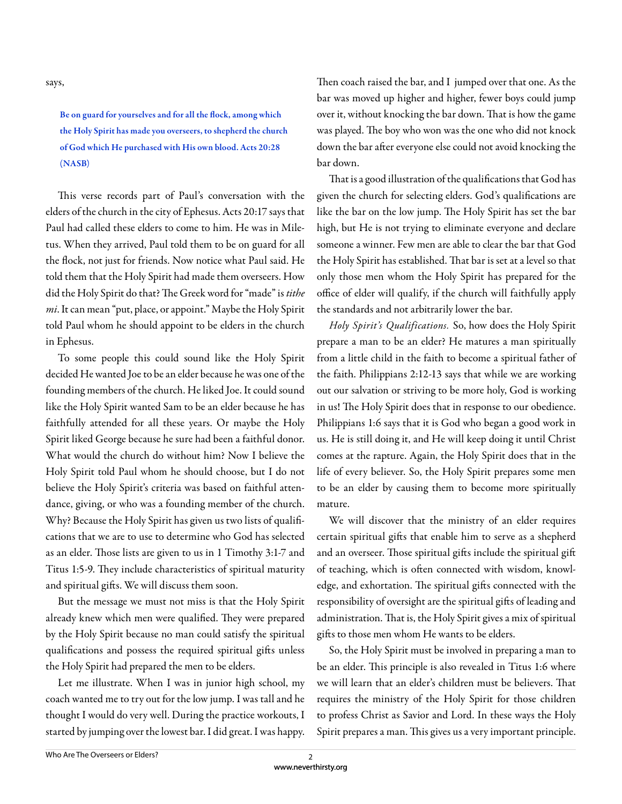says,

Be on guard for yourselves and for all the flock, among which the Holy Spirit has made you overseers, to shepherd the church of God which He purchased with His own blood. Acts 20:28 (NASB)

This verse records part of Paul's conversation with the elders of the church in the city of Ephesus. Acts 20:17 says that Paul had called these elders to come to him. He was in Miletus. When they arrived, Paul told them to be on guard for all the flock, not just for friends. Now notice what Paul said. He told them that the Holy Spirit had made them overseers. How did the Holy Spirit do that? The Greek word for "made" is tithe *mi*. It can mean "put, place, or appoint." Maybe the Holy Spirit told Paul whom he should appoint to be elders in the church in Ephesus.

To some people this could sound like the Holy Spirit decided He wanted Joe to be an elder because he was one of the founding members of the church. He liked Joe. It could sound like the Holy Spirit wanted Sam to be an elder because he has faithfully attended for all these years. Or maybe the Holy Spirit liked George because he sure had been a faithful donor. What would the church do without him? Now I believe the Holy Spirit told Paul whom he should choose, but I do not believe the Holy Spirit's criteria was based on faithful attendance, giving, or who was a founding member of the church. Why? Because the Holy Spirit has given us two lists of qualifications that we are to use to determine who God has selected as an elder. Those lists are given to us in 1 Timothy 3:1-7 and Titus 1:5-9. They include characteristics of spiritual maturity and spiritual gifts. We will discuss them soon.

But the message we must not miss is that the Holy Spirit already knew which men were qualified. They were prepared by the Holy Spirit because no man could satisfy the spiritual qualifications and possess the required spiritual gifts unless the Holy Spirit had prepared the men to be elders.

Let me illustrate. When I was in junior high school, my coach wanted me to try out for the low jump. I was tall and he thought I would do very well. During the practice workouts, I started by jumping over the lowest bar. I did great. I was happy.

Then coach raised the bar, and I jumped over that one. As the bar was moved up higher and higher, fewer boys could jump over it, without knocking the bar down. That is how the game was played. The boy who won was the one who did not knock down the bar after everyone else could not avoid knocking the bar down.

That is a good illustration of the qualifications that God has given the church for selecting elders. God's qualifications are like the bar on the low jump. The Holy Spirit has set the bar high, but He is not trying to eliminate everyone and declare someone a winner. Few men are able to clear the bar that God the Holy Spirit has established. That bar is set at a level so that only those men whom the Holy Spirit has prepared for the office of elder will qualify, if the church will faithfully apply the standards and not arbitrarily lower the bar.

*Holy Spirit's Qualifications.* So, how does the Holy Spirit prepare a man to be an elder? He matures a man spiritually from a little child in the faith to become a spiritual father of the faith. Philippians 2:12-13 says that while we are working out our salvation or striving to be more holy, God is working in us! The Holy Spirit does that in response to our obedience. Philippians 1:6 says that it is God who began a good work in us. He is still doing it, and He will keep doing it until Christ comes at the rapture. Again, the Holy Spirit does that in the life of every believer. So, the Holy Spirit prepares some men to be an elder by causing them to become more spiritually mature.

We will discover that the ministry of an elder requires certain spiritual gifts that enable him to serve as a shepherd and an overseer. Those spiritual gifts include the spiritual gift of teaching, which is often connected with wisdom, knowledge, and exhortation. The spiritual gifts connected with the responsibility of oversight are the spiritual gifts of leading and administration. That is, the Holy Spirit gives a mix of spiritual gifts to those men whom He wants to be elders.

So, the Holy Spirit must be involved in preparing a man to be an elder. This principle is also revealed in Titus 1:6 where we will learn that an elder's children must be believers. That requires the ministry of the Holy Spirit for those children to profess Christ as Savior and Lord. In these ways the Holy Spirit prepares a man. This gives us a very important principle.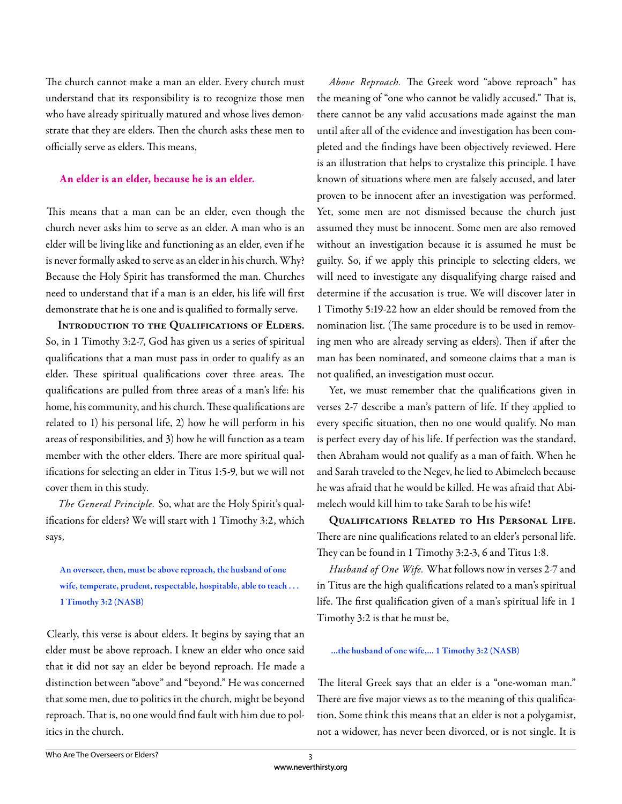The church cannot make a man an elder. Every church must understand that its responsibility is to recognize those men who have already spiritually matured and whose lives demonstrate that they are elders. Then the church asks these men to officially serve as elders. This means,

## **An elder is an elder, because he is an elder.**

This means that a man can be an elder, even though the church never asks him to serve as an elder. A man who is an elder will be living like and functioning as an elder, even if he is never formally asked to serve as an elder in his church. Why? Because the Holy Spirit has transformed the man. Churches need to understand that if a man is an elder, his life will first demonstrate that he is one and is qualified to formally serve.

**Introduction to the Qualifications of Elders.**  So, in 1 Timothy 3:2-7, God has given us a series of spiritual qualifications that a man must pass in order to qualify as an elder. These spiritual qualifications cover three areas. The qualifications are pulled from three areas of a man's life: his home, his community, and his church. These qualifications are related to 1) his personal life, 2) how he will perform in his areas of responsibilities, and 3) how he will function as a team member with the other elders. There are more spiritual qualifications for selecting an elder in Titus 1:5-9, but we will not cover them in this study.

*The General Principle.* So, what are the Holy Spirit's qualifications for elders? We will start with 1 Timothy 3:2, which says,

An overseer, then, must be above reproach, the husband of one wife, temperate, prudent, respectable, hospitable, able to teach . . . 1 Timothy 3:2 (NASB)

Clearly, this verse is about elders. It begins by saying that an elder must be above reproach. I knew an elder who once said that it did not say an elder be beyond reproach. He made a distinction between "above" and "beyond." He was concerned that some men, due to politics in the church, might be beyond reproach. That is, no one would find fault with him due to politics in the church.

Above Reproach. The Greek word "above reproach" has the meaning of "one who cannot be validly accused." That is, there cannot be any valid accusations made against the man until after all of the evidence and investigation has been completed and the findings have been objectively reviewed. Here is an illustration that helps to crystalize this principle. I have known of situations where men are falsely accused, and later proven to be innocent after an investigation was performed. Yet, some men are not dismissed because the church just assumed they must be innocent. Some men are also removed without an investigation because it is assumed he must be guilty. So, if we apply this principle to selecting elders, we will need to investigate any disqualifying charge raised and determine if the accusation is true. We will discover later in 1 Timothy 5:19-22 how an elder should be removed from the nomination list. (The same procedure is to be used in removing men who are already serving as elders). Then if after the man has been nominated, and someone claims that a man is not qualified, an investigation must occur.

Yet, we must remember that the qualifications given in verses 2-7 describe a man's pattern of life. If they applied to every specific situation, then no one would qualify. No man is perfect every day of his life. If perfection was the standard, then Abraham would not qualify as a man of faith. When he and Sarah traveled to the Negev, he lied to Abimelech because he was afraid that he would be killed. He was afraid that Abimelech would kill him to take Sarah to be his wife!

**Qualifications Related to His Personal Life.**  There are nine qualifications related to an elder's personal life. They can be found in 1 Timothy 3:2-3, 6 and Titus 1:8.

*Husband of One Wife.* What follows now in verses 2-7 and in Titus are the high qualifications related to a man's spiritual life. The first qualification given of a man's spiritual life in 1 Timothy 3:2 is that he must be,

## ...the husband of one wife,... 1 Timothy 3:2 (NASB)

The literal Greek says that an elder is a "one-woman man." There are five major views as to the meaning of this qualification. Some think this means that an elder is not a polygamist, not a widower, has never been divorced, or is not single. It is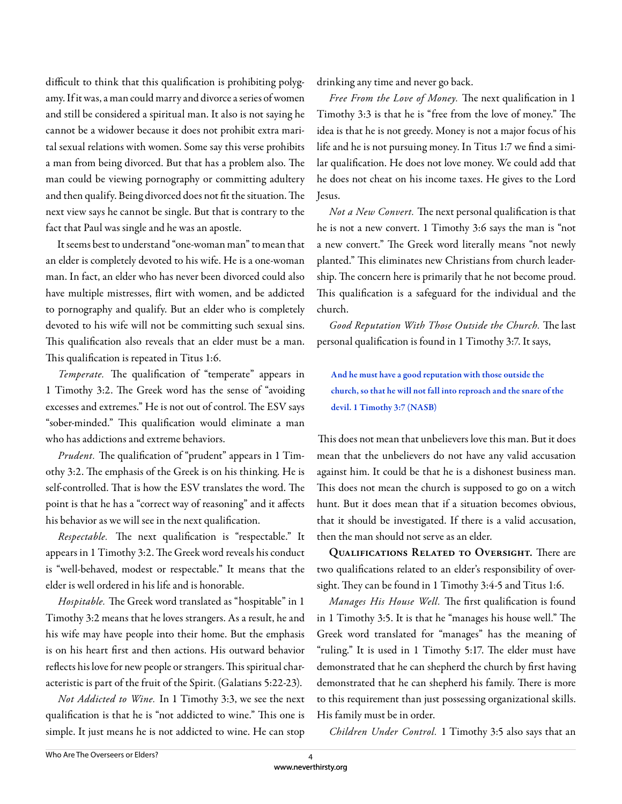difficult to think that this qualification is prohibiting polygamy. If it was, a man could marry and divorce a series of women and still be considered a spiritual man. It also is not saying he cannot be a widower because it does not prohibit extra marital sexual relations with women. Some say this verse prohibits a man from being divorced. But that has a problem also. The man could be viewing pornography or committing adultery and then qualify. Being divorced does not fit the situation. The next view says he cannot be single. But that is contrary to the fact that Paul was single and he was an apostle.

 It seems best to understand "one-woman man" to mean that an elder is completely devoted to his wife. He is a one-woman man. In fact, an elder who has never been divorced could also have multiple mistresses, flirt with women, and be addicted to pornography and qualify. But an elder who is completely devoted to his wife will not be committing such sexual sins. This qualification also reveals that an elder must be a man. This qualification is repeated in Titus 1:6.

*Temperate*. The qualification of "temperate" appears in 1 Timothy 3:2. The Greek word has the sense of "avoiding excesses and extremes." He is not out of control. The ESV says "sober-minded." This qualification would eliminate a man who has addictions and extreme behaviors.

*Prudent*. The qualification of "prudent" appears in 1 Timothy 3:2. The emphasis of the Greek is on his thinking. He is self-controlled. That is how the ESV translates the word. The point is that he has a "correct way of reasoning" and it affects his behavior as we will see in the next qualification.

*Respectable*. The next qualification is "respectable." It appears in 1 Timothy 3:2. The Greek word reveals his conduct is "well-behaved, modest or respectable." It means that the elder is well ordered in his life and is honorable.

Hospitable. The Greek word translated as "hospitable" in 1 Timothy 3:2 means that he loves strangers. As a result, he and his wife may have people into their home. But the emphasis is on his heart first and then actions. His outward behavior reflects his love for new people or strangers. This spiritual characteristic is part of the fruit of the Spirit. (Galatians 5:22-23).

*Not Addicted to Wine.* In 1 Timothy 3:3, we see the next qualification is that he is "not addicted to wine." This one is simple. It just means he is not addicted to wine. He can stop drinking any time and never go back.

*Free From the Love of Money*. The next qualification in 1 Timothy 3:3 is that he is "free from the love of money." The idea is that he is not greedy. Money is not a major focus of his life and he is not pursuing money. In Titus 1:7 we find a similar qualification. He does not love money. We could add that he does not cheat on his income taxes. He gives to the Lord Jesus.

*Not a New Convert*. The next personal qualification is that he is not a new convert. 1 Timothy 3:6 says the man is "not a new convert." The Greek word literally means "not newly planted." This eliminates new Christians from church leadership. The concern here is primarily that he not become proud. This qualification is a safeguard for the individual and the church.

Good Reputation With Those Outside the Church. The last personal qualification is found in 1 Timothy 3:7. It says,

And he must have a good reputation with those outside the church, so that he will not fall into reproach and the snare of the devil. 1 Timothy 3:7 (NASB)

This does not mean that unbelievers love this man. But it does mean that the unbelievers do not have any valid accusation against him. It could be that he is a dishonest business man. This does not mean the church is supposed to go on a witch hunt. But it does mean that if a situation becomes obvious, that it should be investigated. If there is a valid accusation, then the man should not serve as an elder.

**QUALIFICATIONS RELATED TO OVERSIGHT.** There are two qualifications related to an elder's responsibility of oversight. They can be found in 1 Timothy 3:4-5 and Titus 1:6.

*Manages His House Well*. The first qualification is found in 1 Timothy 3:5. It is that he "manages his house well." The Greek word translated for "manages" has the meaning of "ruling." It is used in 1 Timothy 5:17. The elder must have demonstrated that he can shepherd the church by first having demonstrated that he can shepherd his family. There is more to this requirement than just possessing organizational skills. His family must be in order.

*Children Under Control.* 1 Timothy 3:5 also says that an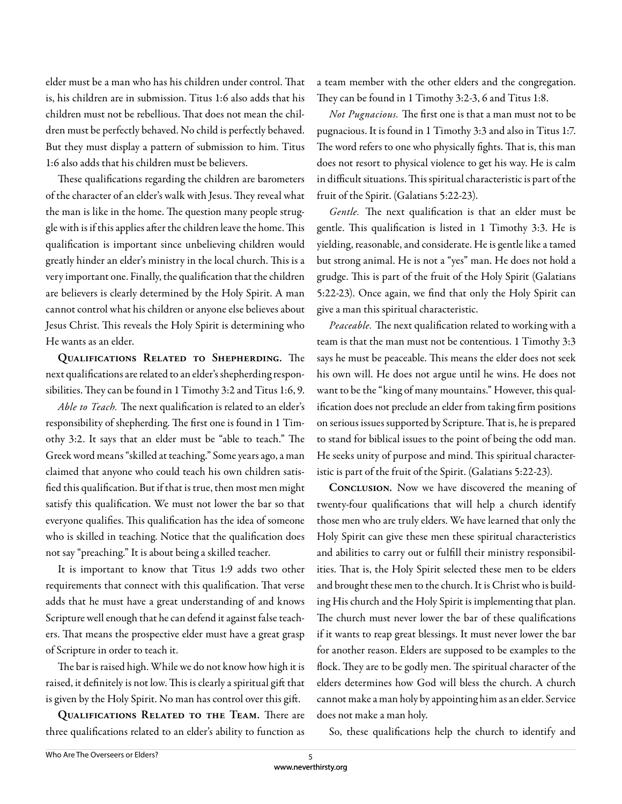elder must be a man who has his children under control. That is, his children are in submission. Titus 1:6 also adds that his children must not be rebellious. That does not mean the children must be perfectly behaved. No child is perfectly behaved. But they must display a pattern of submission to him. Titus 1:6 also adds that his children must be believers.

These qualifications regarding the children are barometers of the character of an elder's walk with Jesus. They reveal what the man is like in the home. The question many people struggle with is if this applies after the children leave the home. This qualification is important since unbelieving children would greatly hinder an elder's ministry in the local church. This is a very important one. Finally, the qualification that the children are believers is clearly determined by the Holy Spirit. A man cannot control what his children or anyone else believes about Jesus Christ. This reveals the Holy Spirit is determining who He wants as an elder.

QUALIFICATIONS RELATED TO SHEPHERDING. The next qualifications are related to an elder's shepherding responsibilities. They can be found in 1 Timothy 3:2 and Titus 1:6, 9.

Able to Teach. The next qualification is related to an elder's responsibility of shepherding. The first one is found in 1 Timothy 3:2. It says that an elder must be "able to teach." The Greek word means "skilled at teaching." Some years ago, a man claimed that anyone who could teach his own children satisfied this qualification. But if that is true, then most men might satisfy this qualification. We must not lower the bar so that everyone qualifies. This qualification has the idea of someone who is skilled in teaching. Notice that the qualification does not say "preaching." It is about being a skilled teacher.

It is important to know that Titus 1:9 adds two other requirements that connect with this qualification. That verse adds that he must have a great understanding of and knows Scripture well enough that he can defend it against false teachers. That means the prospective elder must have a great grasp of Scripture in order to teach it.

The bar is raised high. While we do not know how high it is raised, it definitely is not low. This is clearly a spiritual gift that is given by the Holy Spirit. No man has control over this gift.

**QUALIFICATIONS RELATED TO THE TEAM.** There are three qualifications related to an elder's ability to function as a team member with the other elders and the congregation. They can be found in 1 Timothy 3:2-3, 6 and Titus 1:8.

*Not Pugnacious.* The first one is that a man must not to be pugnacious. It is found in 1 Timothy 3:3 and also in Titus 1:7. The word refers to one who physically fights. That is, this man does not resort to physical violence to get his way. He is calm in difficult situations. This spiritual characteristic is part of the fruit of the Spirit. (Galatians 5:22-23).

Gentle. The next qualification is that an elder must be gentle. This qualification is listed in 1 Timothy 3:3. He is yielding, reasonable, and considerate. He is gentle like a tamed but strong animal. He is not a "yes" man. He does not hold a grudge. This is part of the fruit of the Holy Spirit (Galatians 5:22-23). Once again, we find that only the Holy Spirit can give a man this spiritual characteristic.

Peaceable. The next qualification related to working with a team is that the man must not be contentious. 1 Timothy 3:3 says he must be peaceable. This means the elder does not seek his own will. He does not argue until he wins. He does not want to be the "king of many mountains." However, this qualification does not preclude an elder from taking firm positions on serious issues supported by Scripture. That is, he is prepared to stand for biblical issues to the point of being the odd man. He seeks unity of purpose and mind. This spiritual characteristic is part of the fruit of the Spirit. (Galatians 5:22-23).

**Conclusion.** Now we have discovered the meaning of twenty-four qualifications that will help a church identify those men who are truly elders. We have learned that only the Holy Spirit can give these men these spiritual characteristics and abilities to carry out or fulfill their ministry responsibilities. That is, the Holy Spirit selected these men to be elders and brought these men to the church. It is Christ who is building His church and the Holy Spirit is implementing that plan. The church must never lower the bar of these qualifications if it wants to reap great blessings. It must never lower the bar for another reason. Elders are supposed to be examples to the flock. They are to be godly men. The spiritual character of the elders determines how God will bless the church. A church cannot make a man holy by appointing him as an elder. Service does not make a man holy.

So, these qualifications help the church to identify and